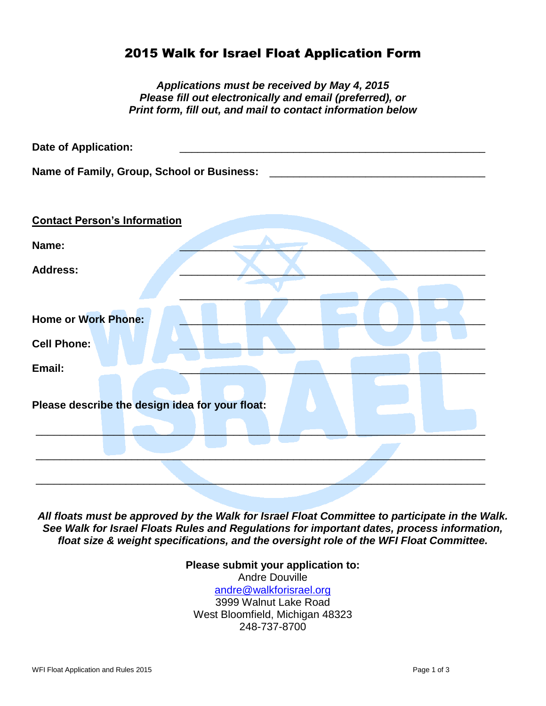## 2015 Walk for Israel Float Application Form

| Applications must be received by May 4, 2015<br>Please fill out electronically and email (preferred), or<br>Print form, fill out, and mail to contact information below |
|-------------------------------------------------------------------------------------------------------------------------------------------------------------------------|
| <b>Date of Application:</b>                                                                                                                                             |
| Name of Family, Group, School or Business:                                                                                                                              |
| <b>Contact Person's Information</b>                                                                                                                                     |
| Name:                                                                                                                                                                   |
| <b>Address:</b>                                                                                                                                                         |
| <b>Home or Work Phone:</b><br><b>Cell Phone:</b>                                                                                                                        |
| Email:                                                                                                                                                                  |
| Please describe the design idea for your float:                                                                                                                         |
|                                                                                                                                                                         |
|                                                                                                                                                                         |
|                                                                                                                                                                         |

*All floats must be approved by the Walk for Israel Float Committee to participate in the Walk. See Walk for Israel Floats Rules and Regulations for important dates, process information, float size & weight specifications, and the oversight role of the WFI Float Committee.*

> **Please submit your application to:** Andre Douville [andre@walkforisrael.org](mailto:andre@walkforisrael.org) 3999 Walnut Lake Road West Bloomfield, Michigan 48323 248-737-8700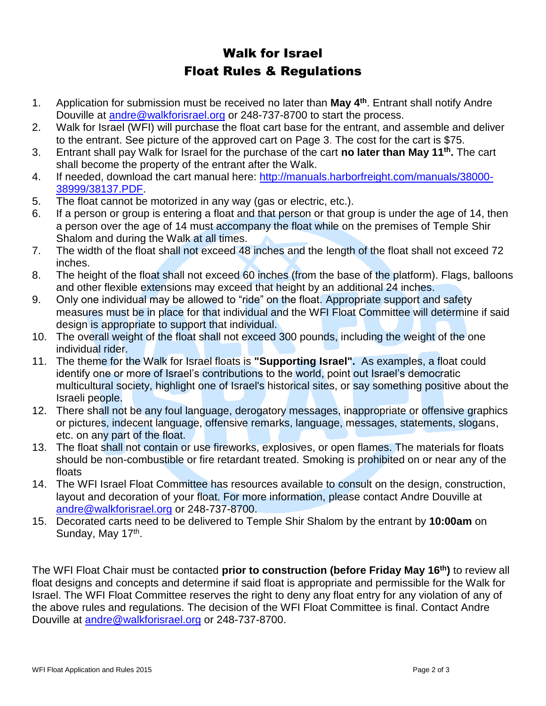## Walk for Israel Float Rules & Regulations

- 1. Application for submission must be received no later than **May 4th**. Entrant shall notify Andre Douville at [andre@walkforisrael.org](mailto:andre@walkforisrael.org) or 248-737-8700 to start the process.
- 2. Walk for Israel (WFI) will purchase the float cart base for the entrant, and assemble and deliver to the entrant. See picture of the approved cart on Page 3. The cost for the cart is \$75.
- 3. Entrant shall pay Walk for Israel for the purchase of the cart **no later than May 11th .** The cart shall become the property of the entrant after the Walk.
- 4. If needed, download the cart manual here: [http://manuals.harborfreight.com/manuals/38000-](http://manuals.harborfreight.com/manuals/38000-38999/38137.PDF) [38999/38137.PDF.](http://manuals.harborfreight.com/manuals/38000-38999/38137.PDF)
- 5. The float cannot be motorized in any way (gas or electric, etc.).
- 6. If a person or group is entering a float and that person or that group is under the age of 14, then a person over the age of 14 must accompany the float while on the premises of Temple Shir Shalom and during the Walk at all times.
- 7. The width of the float shall not exceed 48 inches and the length of the float shall not exceed 72 inches.
- 8. The height of the float shall not exceed 60 inches (from the base of the platform). Flags, balloons and other flexible extensions may exceed that height by an additional 24 inches.
- 9. Only one individual may be allowed to "ride" on the float. Appropriate support and safety measures must be in place for that individual and the WFI Float Committee will determine if said design is appropriate to support that individual.
- 10. The overall weight of the float shall not exceed 300 pounds, including the weight of the one individual rider.
- 11. The theme for the Walk for Israel floats is **"Supporting Israel".** As examples, a float could identify one or more of Israel's contributions to the world, point out Israel's democratic multicultural society, highlight one of Israel's historical sites, or say something positive about the Israeli people.
- 12. There shall not be any foul language, derogatory messages, inappropriate or offensive graphics or pictures, indecent language, offensive remarks, language, messages, statements, slogans, etc. on any part of the float.
- 13. The float shall not contain or use fireworks, explosives, or open flames. The materials for floats should be non-combustible or fire retardant treated. Smoking is prohibited on or near any of the floats
- 14. The WFI Israel Float Committee has resources available to consult on the design, construction, layout and decoration of your float. For more information, please contact Andre Douville at [andre@walkforisrael.org](mailto:andre@walkforisrael.org) or 248-737-8700.
- 15. Decorated carts need to be delivered to Temple Shir Shalom by the entrant by **10:00am** on Sunday, May 17<sup>th</sup>.

The WFI Float Chair must be contacted **prior to construction (before Friday May 16th)** to review all float designs and concepts and determine if said float is appropriate and permissible for the Walk for Israel. The WFI Float Committee reserves the right to deny any float entry for any violation of any of the above rules and regulations. The decision of the WFI Float Committee is final. Contact Andre Douville at [andre@walkforisrael.org](mailto:andre@walkforisrael.org) or 248-737-8700.